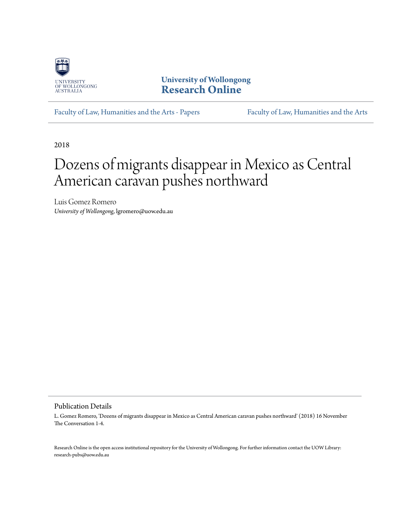

**University of Wollongong [Research Online](https://ro.uow.edu.au)**

[Faculty of Law, Humanities and the Arts - Papers](https://ro.uow.edu.au/lhapapers) [Faculty of Law, Humanities and the Arts](https://ro.uow.edu.au/lha)

2018

# Dozens of migrants disappear in Mexico as Central American caravan pushes northward

Luis Gomez Romero *University of Wollongong*, lgromero@uow.edu.au

Publication Details

L. Gomez Romero, 'Dozens of migrants disappear in Mexico as Central American caravan pushes northward' (2018) 16 November The Conversation 1-4.

Research Online is the open access institutional repository for the University of Wollongong. For further information contact the UOW Library: research-pubs@uow.edu.au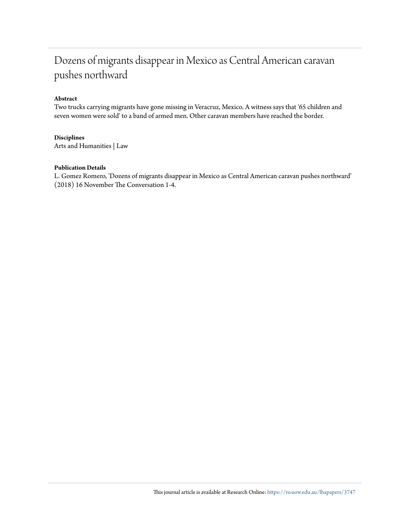## Dozens of migrants disappear in Mexico as Central American caravan pushes northward

### **Abstract**

Two trucks carrying migrants have gone missing in Veracruz, Mexico. A witness says that '65 children and seven women were sold' to a band of armed men. Other caravan members have reached the border.

### **Disciplines**

Arts and Humanities | Law

### **Publication Details**

L. Gomez Romero, 'Dozens of migrants disappear in Mexico as Central American caravan pushes northward' (2018) 16 November The Conversation 1-4.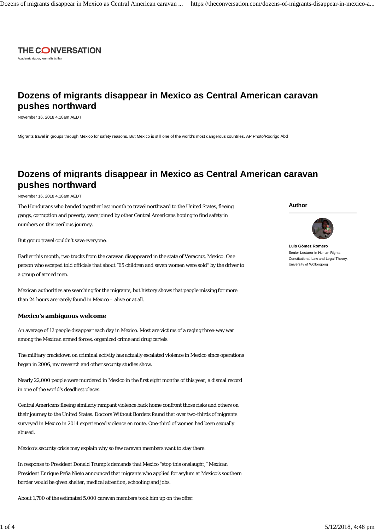

Academic rigour, journalistic flair

### **Dozens of migrants disappear in Mexico as Central American caravan pushes northward**

November 16, 2018 4.18am AEDT

Migrants travel in groups through Mexico for safety reasons. But Mexico is still one of the world's most dangerous countries. AP Photo/Rodrigo Abd

### **Dozens of migrants disappear in Mexico as Central American caravan pushes northward**

November 16, 2018 4.18am AEDT

The Hondurans who banded together last month to travel northward to the United States, fleeing gangs, corruption and poverty, were joined by other Central Americans hoping to find safety in numbers on this perilous journey.

But group travel couldn't save everyone.

Earlier this month, two trucks from the caravan disappeared in the state of Veracruz, Mexico. One person who escaped told officials that about "65 children and seven women were sold" by the driver to a group of armed men.

Mexican authorities are searching for the migrants, but history shows that people missing for more than 24 hours are rarely found in Mexico – alive or at all.

#### **Mexico's ambiguous welcome**

An average of 12 people disappear each day in Mexico. Most are victims of a raging three-way war among the Mexican armed forces, organized crime and drug cartels.

The military crackdown on criminal activity has actually escalated violence in Mexico since operations began in 2006, my research and other security studies show.

Nearly 22,000 people were murdered in Mexico in the first eight months of this year, a dismal record in one of the world's deadliest places.

Central Americans fleeing similarly rampant violence back home confront those risks and others on their journey to the United States. Doctors Without Borders found that over two-thirds of migrants surveyed in Mexico in 2014 experienced violence en route. One-third of women had been sexually abused.

Mexico's security crisis may explain why so few caravan members want to stay there.

In response to President Donald Trump's demands that Mexico "stop this onslaught," Mexican President Enrique Peña Nieto announced that migrants who applied for asylum at Mexico's southern border would be given shelter, medical attention, schooling and jobs.

About 1,700 of the estimated 5,000 caravan members took him up on the offer.

**Author**



**Luis Gómez Romero** Senior Lecturer in Human Rights, Constitutional Law and Legal Theory, University of Wollongong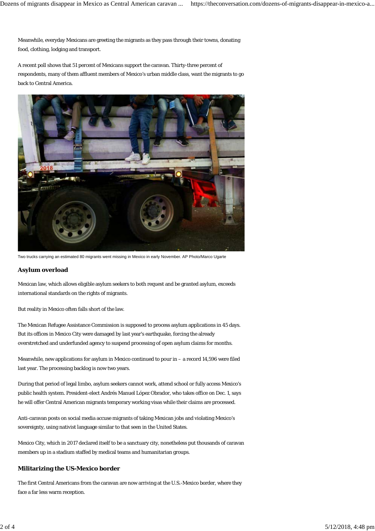Meanwhile, everyday Mexicans are greeting the migrants as they pass through their towns, donating food, clothing, lodging and transport.

A recent poll shows that 51 percent of Mexicans support the caravan. Thirty-three percent of respondents, many of them affluent members of Mexico's urban middle class, want the migrants to go back to Central America.



Two trucks carrying an estimated 80 migrants went missing in Mexico in early November. AP Photo/Marco Ugarte

#### **Asylum overload**

Mexican law, which allows eligible asylum seekers to both request and be granted asylum, exceeds international standards on the rights of migrants.

But reality in Mexico often falls short of the law.

The Mexican Refugee Assistance Commission is supposed to process asylum applications in 45 days. But its offices in Mexico City were damaged by last year's earthquake, forcing the already overstretched and underfunded agency to suspend processing of open asylum claims for months.

Meanwhile, new applications for asylum in Mexico continued to pour in – a record 14,596 were filed last year. The processing backlog is now two years.

During that period of legal limbo, asylum seekers cannot work, attend school or fully access Mexico's public health system. President-elect Andrés Manuel López Obrador, who takes office on Dec. 1, says he will offer Central American migrants temporary working visas while their claims are processed.

Anti-caravan posts on social media accuse migrants of taking Mexican jobs and violating Mexico's sovereignty, using nativist language similar to that seen in the United States.

Mexico City, which in 2017 declared itself to be a sanctuary city, nonetheless put thousands of caravan members up in a stadium staffed by medical teams and humanitarian groups.

### **Militarizing the US-Mexico border**

The first Central Americans from the caravan are now arriving at the U.S.-Mexico border, where they face a far less warm reception.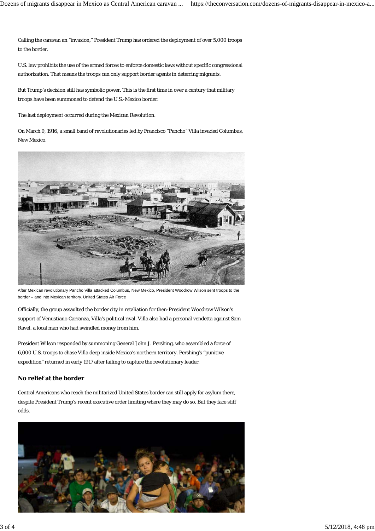Calling the caravan an "invasion," President Trump has ordered the deployment of over 5,000 troops to the border.

U.S. law prohibits the use of the armed forces to enforce domestic laws without specific congressional authorization. That means the troops can only support border agents in deterring migrants.

But Trump's decision still has symbolic power. This is the first time in over a century that military troops have been summoned to defend the U.S.-Mexico border.

The last deployment occurred during the Mexican Revolution.

On March 9, 1916, a small band of revolutionaries led by Francisco "Pancho" Villa invaded Columbus, New Mexico.



After Mexican revolutionary Pancho Villa attacked Columbus, New Mexico, President Woodrow Wilson sent troops to the border – and into Mexican territory. United States Air Force

Officially, the group assaulted the border city in retaliation for then-President Woodrow Wilson's support of Venustiano Carranza, Villa's political rival. Villa also had a personal vendetta against Sam Ravel, a local man who had swindled money from him.

President Wilson responded by summoning General John J. Pershing, who assembled a force of 6,000 U.S. troops to chase Villa deep inside Mexico's northern territory. Pershing's "punitive expedition" returned in early 1917 after failing to capture the revolutionary leader.

### **No relief at the border**

Central Americans who reach the militarized United States border can still apply for asylum there, despite President Trump's recent executive order limiting where they may do so. But they face stiff odds.